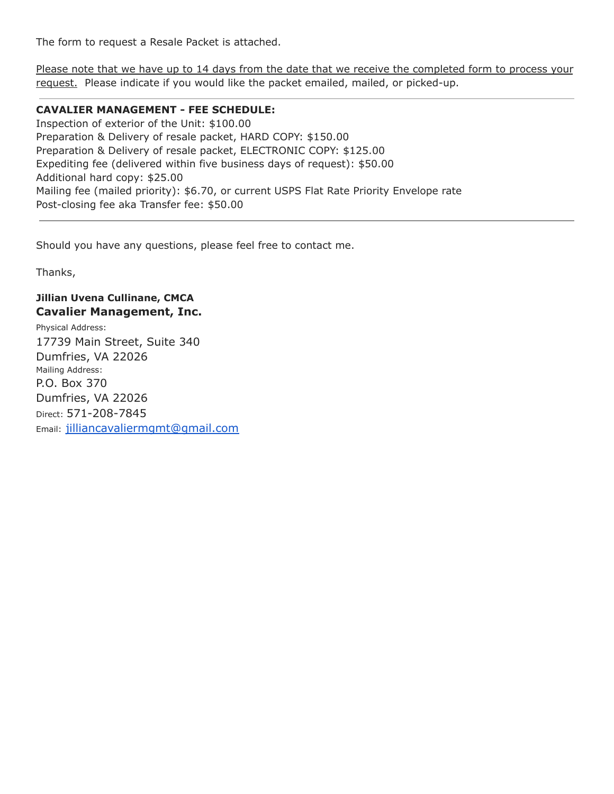The form to request a Resale Packet is attached.

Please note that we have up to 14 days from the date that we receive the completed form to process your request. Please indicate if you would like the packet emailed, mailed, or picked-up.

## **CAVALIER MANAGEMENT - FEE SCHEDULE:**

Inspection of exterior of the Unit: \$100.00 Preparation & Delivery of resale packet, HARD COPY: \$150.00 Preparation & Delivery of resale packet, ELECTRONIC COPY: \$125.00 Expediting fee (delivered within five business days of request): \$50.00 Additional hard copy: \$25.00 Mailing fee (mailed priority): \$6.70, or current USPS Flat Rate Priority Envelope rate Post-closing fee aka Transfer fee: \$50.00

Should you have any questions, please feel free to contact me.

Thanks,

## **Jillian Uvena Cullinane, CMCA Cavalier Management, Inc.**

Physical Address: 17739 Main Street, Suite 340 Dumfries, VA 22026 Mailing Address: P.O. Box 370 Dumfries, VA 22026 Direct: 571-208-7845 Email: [jilliancavaliermgmt@gmail.com](mailto:jilliancavaliermgmt@gmail.com)